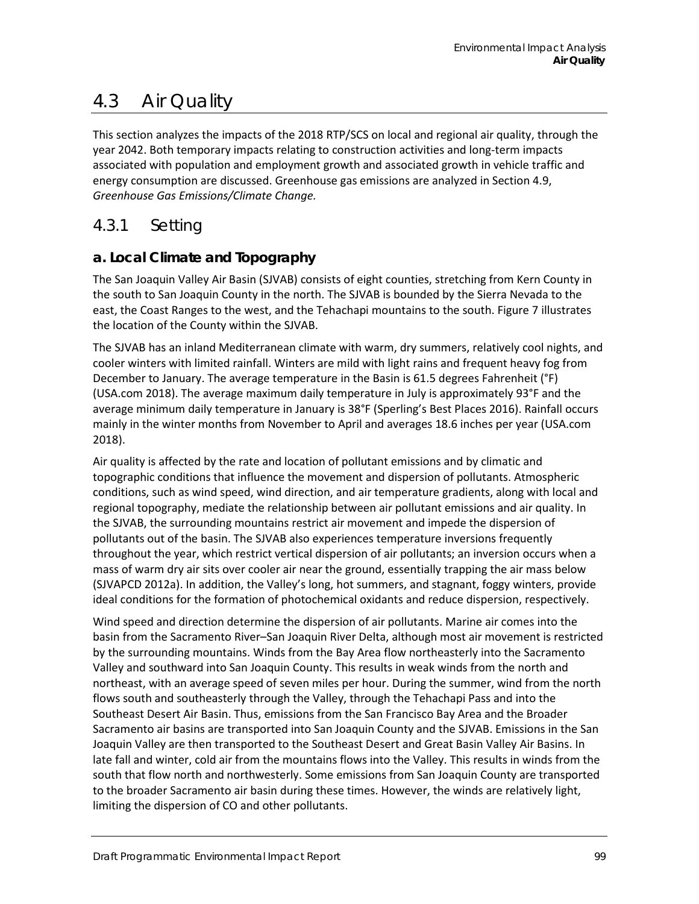# 4.3 Air Quality

This section analyzes the impacts of the 2018 RTP/SCS on local and regional air quality, through the year 2042. Both temporary impacts relating to construction activities and long-term impacts associated with population and employment growth and associated growth in vehicle traffic and energy consumption are discussed. Greenhouse gas emissions are analyzed in Section 4.9, *Greenhouse Gas Emissions/Climate Change.*

# 4.3.1 Setting

# **a. Local Climate and Topography**

The San Joaquin Valley Air Basin (SJVAB) consists of eight counties, stretching from Kern County in the south to San Joaquin County in the north. The SJVAB is bounded by the Sierra Nevada to the east, the Coast Ranges to the west, and the Tehachapi mountains to the south. [Figure 7](#page-1-0) illustrates the location of the County within the SJVAB.

The SJVAB has an inland Mediterranean climate with warm, dry summers, relatively cool nights, and cooler winters with limited rainfall. Winters are mild with light rains and frequent heavy fog from December to January. The average temperature in the Basin is 61.5 degrees Fahrenheit (°F) (USA.com 2018). The average maximum daily temperature in July is approximately 93°F and the average minimum daily temperature in January is 38°F (Sperling's Best Places 2016). Rainfall occurs mainly in the winter months from November to April and averages 18.6 inches per year (USA.com 2018).

Air quality is affected by the rate and location of pollutant emissions and by climatic and topographic conditions that influence the movement and dispersion of pollutants. Atmospheric conditions, such as wind speed, wind direction, and air temperature gradients, along with local and regional topography, mediate the relationship between air pollutant emissions and air quality. In the SJVAB, the surrounding mountains restrict air movement and impede the dispersion of pollutants out of the basin. The SJVAB also experiences temperature inversions frequently throughout the year, which restrict vertical dispersion of air pollutants; an inversion occurs when a mass of warm dry air sits over cooler air near the ground, essentially trapping the air mass below (SJVAPCD 2012a). In addition, the Valley's long, hot summers, and stagnant, foggy winters, provide ideal conditions for the formation of photochemical oxidants and reduce dispersion, respectively.

Wind speed and direction determine the dispersion of air pollutants. Marine air comes into the basin from the Sacramento River–San Joaquin River Delta, although most air movement is restricted by the surrounding mountains. Winds from the Bay Area flow northeasterly into the Sacramento Valley and southward into San Joaquin County. This results in weak winds from the north and northeast, with an average speed of seven miles per hour. During the summer, wind from the north flows south and southeasterly through the Valley, through the Tehachapi Pass and into the Southeast Desert Air Basin. Thus, emissions from the San Francisco Bay Area and the Broader Sacramento air basins are transported into San Joaquin County and the SJVAB. Emissions in the San Joaquin Valley are then transported to the Southeast Desert and Great Basin Valley Air Basins. In late fall and winter, cold air from the mountains flows into the Valley. This results in winds from the south that flow north and northwesterly. Some emissions from San Joaquin County are transported to the broader Sacramento air basin during these times. However, the winds are relatively light, limiting the dispersion of CO and other pollutants.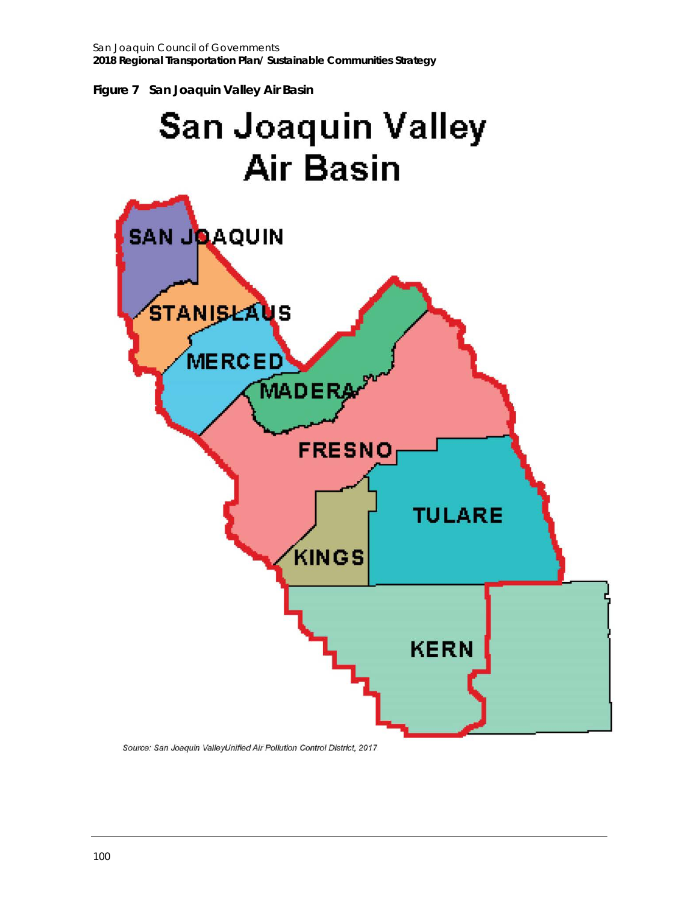<span id="page-1-0"></span>



Source: San Joaquin ValleyUnified Air Pollution Control District, 2017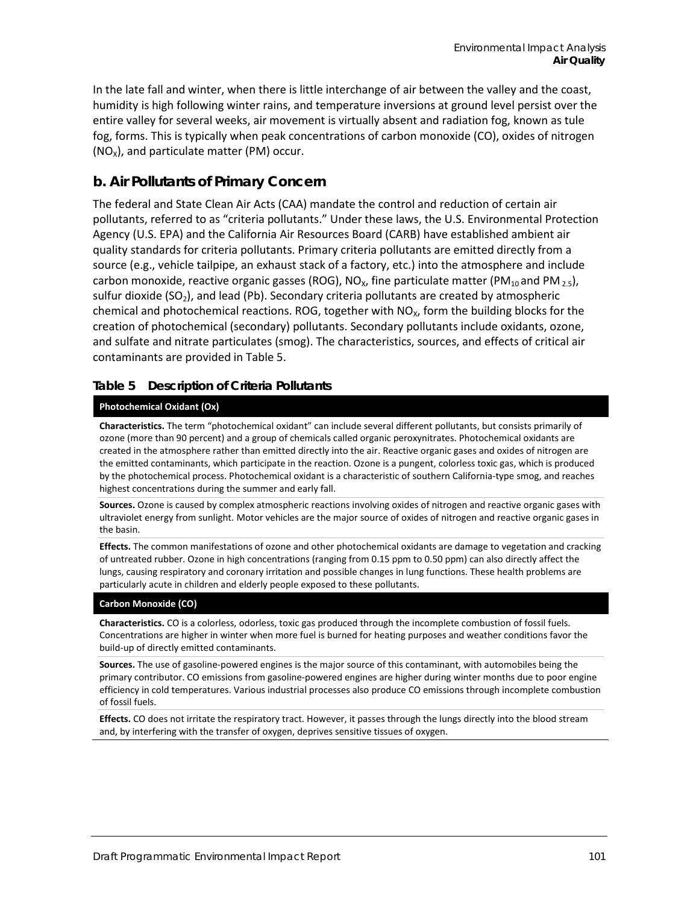In the late fall and winter, when there is little interchange of air between the valley and the coast, humidity is high following winter rains, and temperature inversions at ground level persist over the entire valley for several weeks, air movement is virtually absent and radiation fog, known as tule fog, forms. This is typically when peak concentrations of carbon monoxide (CO), oxides of nitrogen  $(NO<sub>x</sub>)$ , and particulate matter (PM) occur.

## **b. Air Pollutants of Primary Concern**

The federal and State Clean Air Acts (CAA) mandate the control and reduction of certain air pollutants, referred to as "criteria pollutants." Under these laws, the U.S. Environmental Protection Agency (U.S. EPA) and the California Air Resources Board (CARB) have established ambient air quality standards for criteria pollutants. Primary criteria pollutants are emitted directly from a source (e.g., vehicle tailpipe, an exhaust stack of a factory, etc.) into the atmosphere and include carbon monoxide, reactive organic gasses (ROG), NO<sub>x</sub>, fine particulate matter (PM<sub>10</sub> and PM<sub>2.5</sub>), sulfur dioxide ( $SO<sub>2</sub>$ ), and lead (Pb). Secondary criteria pollutants are created by atmospheric chemical and photochemical reactions. ROG, together with  $NO<sub>X</sub>$ , form the building blocks for the creation of photochemical (secondary) pollutants. Secondary pollutants include oxidants, ozone, and sulfate and nitrate particulates (smog). The characteristics, sources, and effects of critical air contaminants are provided in [Table 5.](#page-2-0)

#### <span id="page-2-0"></span>**Table 5 Description of Criteria Pollutants**

#### **Photochemical Oxidant (Ox)**

**Characteristics.** The term "photochemical oxidant" can include several different pollutants, but consists primarily of ozone (more than 90 percent) and a group of chemicals called organic peroxynitrates. Photochemical oxidants are created in the atmosphere rather than emitted directly into the air. Reactive organic gases and oxides of nitrogen are the emitted contaminants, which participate in the reaction. Ozone is a pungent, colorless toxic gas, which is produced by the photochemical process. Photochemical oxidant is a characteristic of southern California-type smog, and reaches highest concentrations during the summer and early fall.

**Sources.** Ozone is caused by complex atmospheric reactions involving oxides of nitrogen and reactive organic gases with ultraviolet energy from sunlight. Motor vehicles are the major source of oxides of nitrogen and reactive organic gases in the basin.

**Effects.** The common manifestations of ozone and other photochemical oxidants are damage to vegetation and cracking of untreated rubber. Ozone in high concentrations (ranging from 0.15 ppm to 0.50 ppm) can also directly affect the lungs, causing respiratory and coronary irritation and possible changes in lung functions. These health problems are particularly acute in children and elderly people exposed to these pollutants.

#### **Carbon Monoxide (CO)**

**Characteristics.** CO is a colorless, odorless, toxic gas produced through the incomplete combustion of fossil fuels. Concentrations are higher in winter when more fuel is burned for heating purposes and weather conditions favor the build-up of directly emitted contaminants.

**Sources.** The use of gasoline-powered engines is the major source of this contaminant, with automobiles being the primary contributor. CO emissions from gasoline-powered engines are higher during winter months due to poor engine efficiency in cold temperatures. Various industrial processes also produce CO emissions through incomplete combustion of fossil fuels.

**Effects.** CO does not irritate the respiratory tract. However, it passes through the lungs directly into the blood stream and, by interfering with the transfer of oxygen, deprives sensitive tissues of oxygen.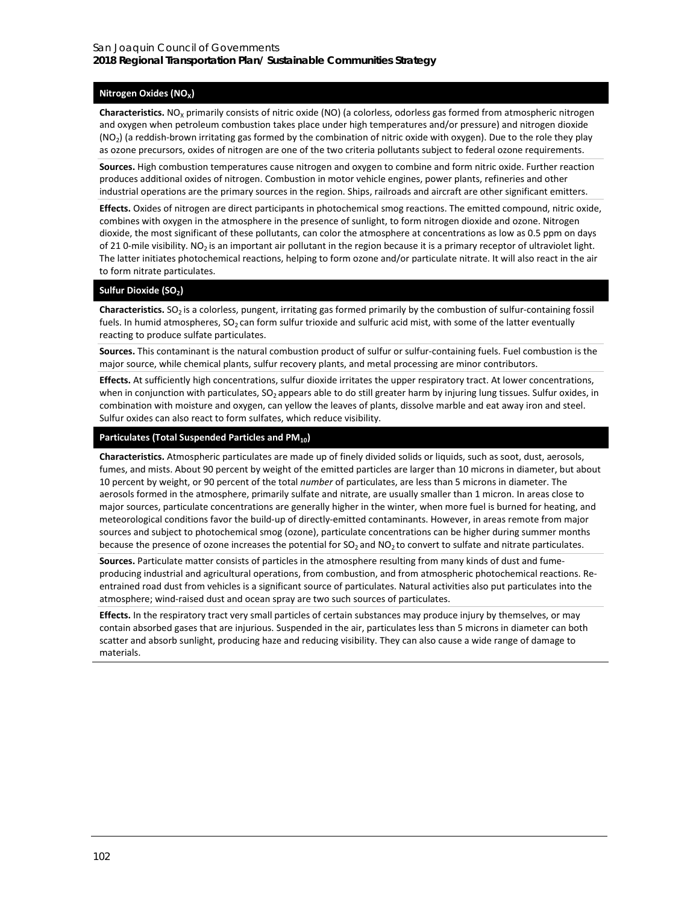#### **Nitrogen Oxides (NO<sub>X</sub>)**

**Characteristics.** NO<sub>X</sub> primarily consists of nitric oxide (NO) (a colorless, odorless gas formed from atmospheric nitrogen and oxygen when petroleum combustion takes place under high temperatures and/or pressure) and nitrogen dioxide  $(NO<sub>2</sub>)$  (a reddish-brown irritating gas formed by the combination of nitric oxide with oxygen). Due to the role they play as ozone precursors, oxides of nitrogen are one of the two criteria pollutants subject to federal ozone requirements.

**Sources.** High combustion temperatures cause nitrogen and oxygen to combine and form nitric oxide. Further reaction produces additional oxides of nitrogen. Combustion in motor vehicle engines, power plants, refineries and other industrial operations are the primary sources in the region. Ships, railroads and aircraft are other significant emitters.

**Effects.** Oxides of nitrogen are direct participants in photochemical smog reactions. The emitted compound, nitric oxide, combines with oxygen in the atmosphere in the presence of sunlight, to form nitrogen dioxide and ozone. Nitrogen dioxide, the most significant of these pollutants, can color the atmosphere at concentrations as low as 0.5 ppm on days of 21 0-mile visibility. NO<sub>2</sub> is an important air pollutant in the region because it is a primary receptor of ultraviolet light. The latter initiates photochemical reactions, helping to form ozone and/or particulate nitrate. It will also react in the air to form nitrate particulates.

#### Sulfur Dioxide (SO<sub>2</sub>)

Characteristics. SO<sub>2</sub> is a colorless, pungent, irritating gas formed primarily by the combustion of sulfur-containing fossil fuels. In humid atmospheres,  $SO<sub>2</sub>$  can form sulfur trioxide and sulfuric acid mist, with some of the latter eventually reacting to produce sulfate particulates.

Sources. This contaminant is the natural combustion product of sulfur or sulfur-containing fuels. Fuel combustion is the major source, while chemical plants, sulfur recovery plants, and metal processing are minor contributors.

**Effects.** At sufficiently high concentrations, sulfur dioxide irritates the upper respiratory tract. At lower concentrations, when in conjunction with particulates,  $SO_2$  appears able to do still greater harm by injuring lung tissues. Sulfur oxides, in combination with moisture and oxygen, can yellow the leaves of plants, dissolve marble and eat away iron and steel. Sulfur oxides can also react to form sulfates, which reduce visibility.

#### Particulates (Total Suspended Particles and PM<sub>10</sub>)

**Characteristics.** Atmospheric particulates are made up of finely divided solids or liquids, such as soot, dust, aerosols, fumes, and mists. About 90 percent by weight of the emitted particles are larger than 10 microns in diameter, but about 10 percent by weight, or 90 percent of the total *number* of particulates, are less than 5 microns in diameter. The aerosols formed in the atmosphere, primarily sulfate and nitrate, are usually smaller than 1 micron. In areas close to major sources, particulate concentrations are generally higher in the winter, when more fuel is burned for heating, and meteorological conditions favor the build-up of directly-emitted contaminants. However, in areas remote from major sources and subject to photochemical smog (ozone), particulate concentrations can be higher during summer months because the presence of ozone increases the potential for  $SO_2$  and  $NO_2$  to convert to sulfate and nitrate particulates.

**Sources.** Particulate matter consists of particles in the atmosphere resulting from many kinds of dust and fumeproducing industrial and agricultural operations, from combustion, and from atmospheric photochemical reactions. Reentrained road dust from vehicles is a significant source of particulates. Natural activities also put particulates into the atmosphere; wind-raised dust and ocean spray are two such sources of particulates.

**Effects.** In the respiratory tract very small particles of certain substances may produce injury by themselves, or may contain absorbed gases that are injurious. Suspended in the air, particulates less than 5 microns in diameter can both scatter and absorb sunlight, producing haze and reducing visibility. They can also cause a wide range of damage to materials.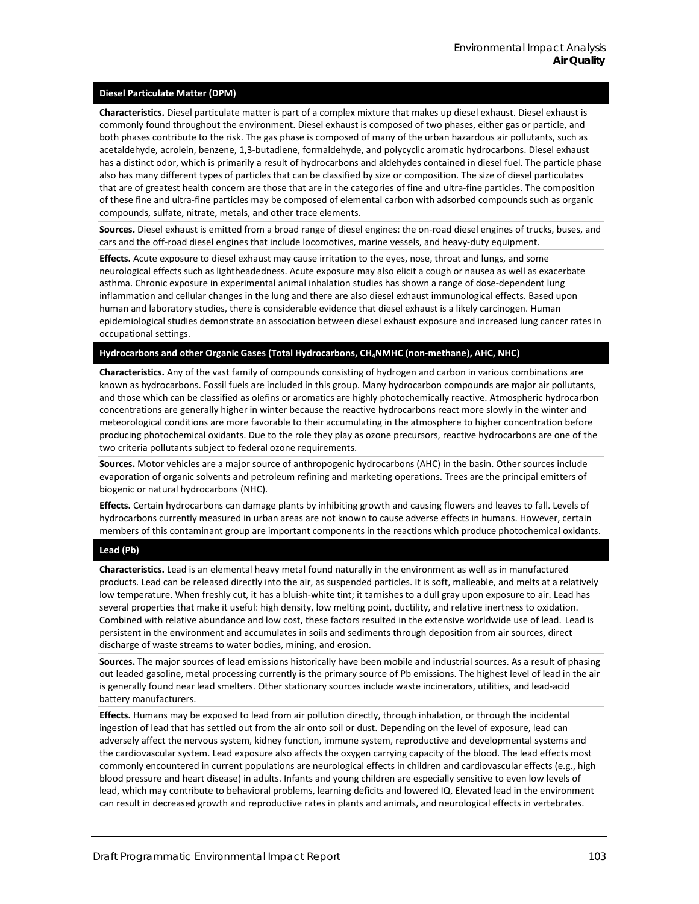#### **Diesel Particulate Matter (DPM)**

**Characteristics.** Diesel particulate matter is part of a complex mixture that makes up diesel exhaust. Diesel exhaust is commonly found throughout the environment. Diesel exhaust is composed of two phases, either gas or particle, and both phases contribute to the risk. The gas phase is composed of many of the urban hazardous air pollutants, such as acetaldehyde, acrolein, benzene, 1,3-butadiene, formaldehyde, and polycyclic aromatic hydrocarbons. Diesel exhaust has a distinct odor, which is primarily a result of hydrocarbons and aldehydes contained in diesel fuel. The particle phase also has many different types of particles that can be classified by size or composition. The size of diesel particulates that are of greatest health concern are those that are in the categories of fine and ultra-fine particles. The composition of these fine and ultra-fine particles may be composed of elemental carbon with adsorbed compounds such as organic compounds, sulfate, nitrate, metals, and other trace elements.

**Sources.** Diesel exhaust is emitted from a broad range of diesel engines: the on-road diesel engines of trucks, buses, and cars and the off-road diesel engines that include locomotives, marine vessels, and heavy-duty equipment.

**Effects.** Acute exposure to diesel exhaust may cause irritation to the eyes, nose, throat and lungs, and some neurological effects such as lightheadedness. Acute exposure may also elicit a cough or nausea as well as exacerbate asthma. Chronic exposure in experimental animal inhalation studies has shown a range of dose-dependent lung inflammation and cellular changes in the lung and there are also diesel exhaust immunological effects. Based upon human and laboratory studies, there is considerable evidence that diesel exhaust is a likely carcinogen. Human epidemiological studies demonstrate an association between diesel exhaust exposure and increased lung cancer rates in occupational settings.

#### Hydrocarbons and other Organic Gases (Total Hydrocarbons, CH<sub>4</sub>NMHC (non-methane), AHC, NHC)

**Characteristics.** Any of the vast family of compounds consisting of hydrogen and carbon in various combinations are known as hydrocarbons. Fossil fuels are included in this group. Many hydrocarbon compounds are major air pollutants, and those which can be classified as olefins or aromatics are highly photochemically reactive. Atmospheric hydrocarbon concentrations are generally higher in winter because the reactive hydrocarbons react more slowly in the winter and meteorological conditions are more favorable to their accumulating in the atmosphere to higher concentration before producing photochemical oxidants. Due to the role they play as ozone precursors, reactive hydrocarbons are one of the two criteria pollutants subject to federal ozone requirements.

**Sources.** Motor vehicles are a major source of anthropogenic hydrocarbons (AHC) in the basin. Other sources include evaporation of organic solvents and petroleum refining and marketing operations. Trees are the principal emitters of biogenic or natural hydrocarbons (NHC).

**Effects.** Certain hydrocarbons can damage plants by inhibiting growth and causing flowers and leaves to fall. Levels of hydrocarbons currently measured in urban areas are not known to cause adverse effects in humans. However, certain members of this contaminant group are important components in the reactions which produce photochemical oxidants.

#### **Lead (Pb)**

**Characteristics.** Lead is an elemental heavy metal found naturally in the environment as well as in manufactured products. Lead can be released directly into the air, as suspended particles. It is soft, malleable, and melts at a relatively low temperature. When freshly cut, it has a bluish-white tint; it tarnishes to a dull gray upon exposure to air. Lead has several properties that make it useful: high density, low melting point, ductility, and relative inertness to oxidation. Combined with relative abundance and low cost, these factors resulted in the extensive worldwide use of lead. Lead is persistent in the environment and accumulates in soils and sediments through deposition from air sources, direct discharge of waste streams to water bodies, mining, and erosion.

**Sources.** The major sources of lead emissions historically have been mobile and industrial sources. As a result of phasing out leaded gasoline, metal processing currently is the primary source of Pb emissions. The highest level of lead in the air is generally found near lead smelters. Other stationary sources include waste incinerators, utilities, and lead-acid battery manufacturers.

**Effects.** Humans may be exposed to lead from air pollution directly, through inhalation, or through the incidental ingestion of lead that has settled out from the air onto soil or dust. Depending on the level of exposure, lead can adversely affect the nervous system, kidney function, immune system, reproductive and developmental systems and the cardiovascular system. Lead exposure also affects the oxygen carrying capacity of the blood. The lead effects most commonly encountered in current populations are neurological effects in children and cardiovascular effects (e.g., high blood pressure and heart disease) in adults. Infants and young children are especially sensitive to even low levels of lead, which may contribute to behavioral problems, learning deficits and lowered IQ. Elevated lead in the environment can result in decreased growth and reproductive rates in plants and animals, and neurological effects in vertebrates.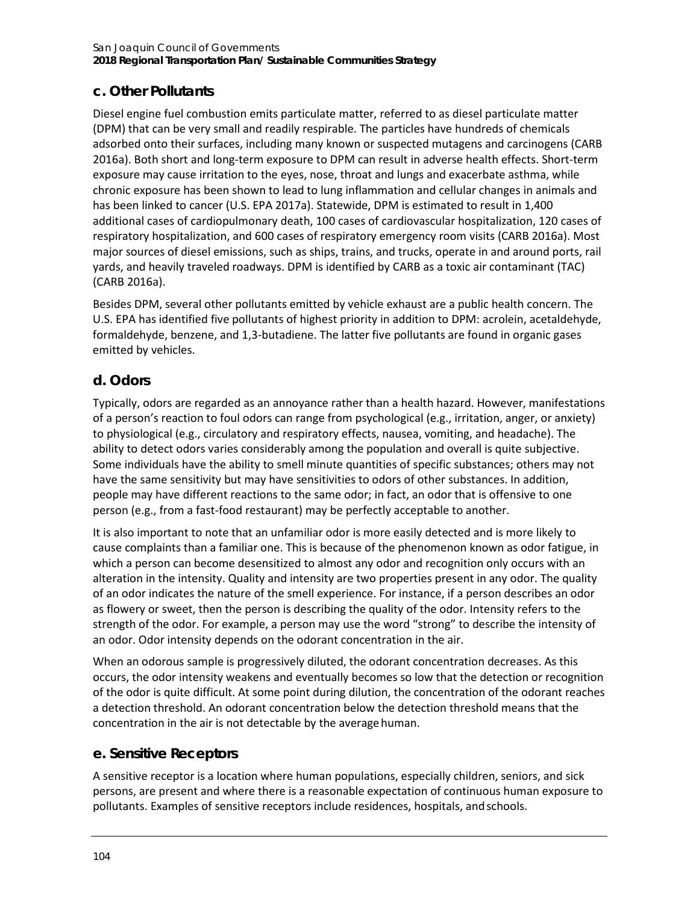# **c. Other Pollutants**

Diesel engine fuel combustion emits particulate matter, referred to as diesel particulate matter (DPM) that can be very small and readily respirable. The particles have hundreds of chemicals adsorbed onto their surfaces, including many known or suspected mutagens and carcinogens (CARB 2016a). Both short and long-term exposure to DPM can result in adverse health effects. Short-term exposure may cause irritation to the eyes, nose, throat and lungs and exacerbate asthma, while chronic exposure has been shown to lead to lung inflammation and cellular changes in animals and has been linked to cancer (U.S. EPA 2017a). Statewide, DPM is estimated to result in 1,400 additional cases of cardiopulmonary death, 100 cases of cardiovascular hospitalization, 120 cases of respiratory hospitalization, and 600 cases of respiratory emergency room visits (CARB 2016a). Most major sources of diesel emissions, such as ships, trains, and trucks, operate in and around ports, rail yards, and heavily traveled roadways. DPM is identified by CARB as a toxic air contaminant (TAC) (CARB 2016a).

Besides DPM, several other pollutants emitted by vehicle exhaust are a public health concern. The U.S. EPA has identified five pollutants of highest priority in addition to DPM: acrolein, acetaldehyde, formaldehyde, benzene, and 1,3-butadiene. The latter five pollutants are found in organic gases emitted by vehicles.

## **d. Odors**

Typically, odors are regarded as an annoyance rather than a health hazard. However, manifestations of a person's reaction to foul odors can range from psychological (e.g., irritation, anger, or anxiety) to physiological (e.g., circulatory and respiratory effects, nausea, vomiting, and headache). The ability to detect odors varies considerably among the population and overall is quite subjective. Some individuals have the ability to smell minute quantities of specific substances; others may not have the same sensitivity but may have sensitivities to odors of other substances. In addition, people may have different reactions to the same odor; in fact, an odor that is offensive to one person (e.g., from a fast-food restaurant) may be perfectly acceptable to another.

It is also important to note that an unfamiliar odor is more easily detected and is more likely to cause complaints than a familiar one. This is because of the phenomenon known as odor fatigue, in which a person can become desensitized to almost any odor and recognition only occurs with an alteration in the intensity. Quality and intensity are two properties present in any odor. The quality of an odor indicates the nature of the smell experience. For instance, if a person describes an odor as flowery or sweet, then the person is describing the quality of the odor. Intensity refers to the strength of the odor. For example, a person may use the word "strong" to describe the intensity of an odor. Odor intensity depends on the odorant concentration in the air.

When an odorous sample is progressively diluted, the odorant concentration decreases. As this occurs, the odor intensity weakens and eventually becomes so low that the detection or recognition of the odor is quite difficult. At some point during dilution, the concentration of the odorant reaches a detection threshold. An odorant concentration below the detection threshold means that the concentration in the air is not detectable by the average human.

## **e. Sensitive Receptors**

A sensitive receptor is a location where human populations, especially children, seniors, and sick persons, are present and where there is a reasonable expectation of continuous human exposure to pollutants. Examples of sensitive receptors include residences, hospitals, andschools.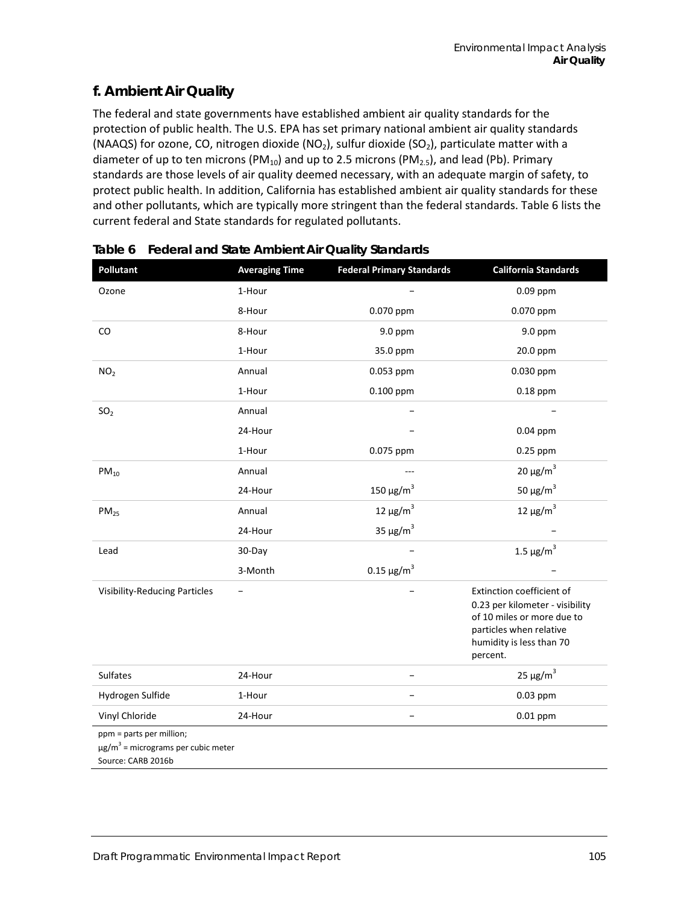# **f. Ambient Air Quality**

The federal and state governments have established ambient air quality standards for the protection of public health. The U.S. EPA has set primary national ambient air quality standards (NAAQS) for ozone, CO, nitrogen dioxide (NO<sub>2</sub>), sulfur dioxide (SO<sub>2</sub>), particulate matter with a diameter of up to ten microns (PM<sub>10</sub>) and up to 2.5 microns (PM<sub>2.5</sub>), and lead (Pb). Primary standards are those levels of air quality deemed necessary, with an adequate margin of safety, to protect public health. In addition, California has established ambient air quality standards for these and other pollutants, which are typically more stringent than the federal standards[. Table 6](#page-6-0) lists the current federal and State standards for regulated pollutants.

| Pollutant                                                                                             | <b>Averaging Time</b> | <b>Federal Primary Standards</b> | <b>California Standards</b>                                                                                                                                   |
|-------------------------------------------------------------------------------------------------------|-----------------------|----------------------------------|---------------------------------------------------------------------------------------------------------------------------------------------------------------|
| Ozone                                                                                                 | 1-Hour                |                                  | $0.09$ ppm                                                                                                                                                    |
|                                                                                                       | 8-Hour                | 0.070 ppm                        | 0.070 ppm                                                                                                                                                     |
| CO                                                                                                    | 8-Hour                | 9.0 ppm                          | 9.0 ppm                                                                                                                                                       |
|                                                                                                       | 1-Hour                | 35.0 ppm                         | 20.0 ppm                                                                                                                                                      |
| NO <sub>2</sub>                                                                                       | Annual                | 0.053 ppm                        | 0.030 ppm                                                                                                                                                     |
|                                                                                                       | 1-Hour                | 0.100 ppm                        | $0.18$ ppm                                                                                                                                                    |
| SO <sub>2</sub>                                                                                       | Annual                |                                  |                                                                                                                                                               |
|                                                                                                       | 24-Hour               |                                  | $0.04$ ppm                                                                                                                                                    |
|                                                                                                       | 1-Hour                | 0.075 ppm                        | 0.25 ppm                                                                                                                                                      |
| $PM_{10}$                                                                                             | Annual                |                                  | $20 \mu g/m^3$                                                                                                                                                |
|                                                                                                       | 24-Hour               | 150 μg/m <sup>3</sup>            | 50 $\mu$ g/m <sup>3</sup>                                                                                                                                     |
| PM <sub>25</sub>                                                                                      | Annual                | 12 μg/m <sup>3</sup>             | 12 μg/m <sup>3</sup>                                                                                                                                          |
|                                                                                                       | 24-Hour               | 35 $\mu$ g/m <sup>3</sup>        |                                                                                                                                                               |
| Lead                                                                                                  | 30-Day                |                                  | $1.5 \ \mu g/m^3$                                                                                                                                             |
|                                                                                                       | 3-Month               | $0.15 \,\mathrm{\mu g/m}^3$      |                                                                                                                                                               |
| <b>Visibility-Reducing Particles</b>                                                                  |                       |                                  | Extinction coefficient of<br>0.23 per kilometer - visibility<br>of 10 miles or more due to<br>particles when relative<br>humidity is less than 70<br>percent. |
| <b>Sulfates</b>                                                                                       | 24-Hour               |                                  | $25 \mu g/m^3$                                                                                                                                                |
| Hydrogen Sulfide                                                                                      | 1-Hour                |                                  | 0.03 ppm                                                                                                                                                      |
| Vinyl Chloride                                                                                        | 24-Hour               |                                  | $0.01$ ppm                                                                                                                                                    |
| ppm = parts per million;<br>$\mu$ g/m <sup>3</sup> = micrograms per cubic meter<br>Source: CARB 2016b |                       |                                  |                                                                                                                                                               |

<span id="page-6-0"></span>

| Table 6 Federal and State Ambient Air Quality Standards |  |  |
|---------------------------------------------------------|--|--|
|                                                         |  |  |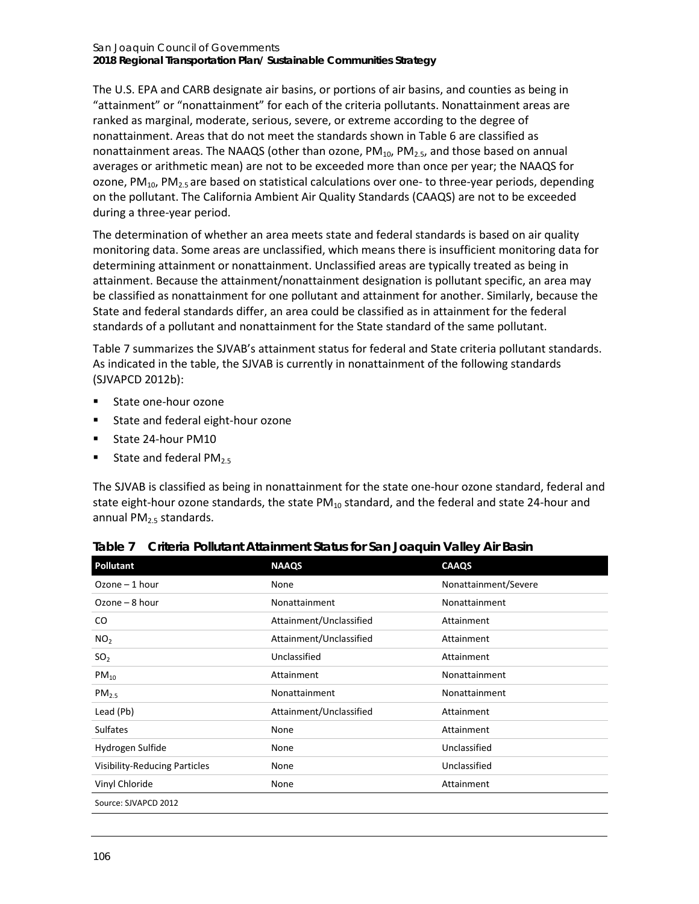#### San Joaquin Council of Governments **2018 Regional Transportation Plan/ Sustainable Communities Strategy**

The U.S. EPA and CARB designate air basins, or portions of air basins, and counties as being in "attainment" or "nonattainment" for each of the criteria pollutants. Nonattainment areas are ranked as marginal, moderate, serious, severe, or extreme according to the degree of nonattainment. Areas that do not meet the standards shown in [Table 6](#page-6-0) are classified as nonattainment areas. The NAAQS (other than ozone,  $PM_{10}$ ,  $PM_{2.5}$ , and those based on annual averages or arithmetic mean) are not to be exceeded more than once per year; the NAAQS for ozone, PM<sub>10</sub>, PM<sub>2.5</sub> are based on statistical calculations over one- to three-year periods, depending on the pollutant. The California Ambient Air Quality Standards (CAAQS) are not to be exceeded during a three-year period.

The determination of whether an area meets state and federal standards is based on air quality monitoring data. Some areas are unclassified, which means there is insufficient monitoring data for determining attainment or nonattainment. Unclassified areas are typically treated as being in attainment. Because the attainment/nonattainment designation is pollutant specific, an area may be classified as nonattainment for one pollutant and attainment for another. Similarly, because the State and federal standards differ, an area could be classified as in attainment for the federal standards of a pollutant and nonattainment for the State standard of the same pollutant.

[Table 7](#page-7-0) summarizes the SJVAB's attainment status for federal and State criteria pollutant standards. As indicated in the table, the SJVAB is currently in nonattainment of the following standards (SJVAPCD 2012b):

- State one-hour ozone
- **State and federal eight-hour ozone**
- **State 24-hour PM10**
- State and federal  $PM<sub>2.5</sub>$

The SJVAB is classified as being in nonattainment for the state one-hour ozone standard, federal and state eight-hour ozone standards, the state  $PM_{10}$  standard, and the federal and state 24-hour and annual PM<sub>2.5</sub> standards.

| <b>Pollutant</b>                     | <b>NAAQS</b>            | <b>CAAQS</b>         |
|--------------------------------------|-------------------------|----------------------|
| $Ozone-1 hour$                       | None                    | Nonattainment/Severe |
| $Ozone - 8 hour$                     | Nonattainment           | Nonattainment        |
| CO                                   | Attainment/Unclassified | Attainment           |
| NO <sub>2</sub>                      | Attainment/Unclassified | Attainment           |
| SO <sub>2</sub>                      | Unclassified            | Attainment           |
| $PM_{10}$                            | Attainment              | Nonattainment        |
| PM <sub>2.5</sub>                    | Nonattainment           | Nonattainment        |
| Lead (Pb)                            | Attainment/Unclassified | Attainment           |
| <b>Sulfates</b>                      | None                    | Attainment           |
| Hydrogen Sulfide                     | None                    | Unclassified         |
| <b>Visibility-Reducing Particles</b> | None                    | Unclassified         |
| Vinyl Chloride                       | None                    | Attainment           |
| Source: SJVAPCD 2012                 |                         |                      |

<span id="page-7-0"></span>

|  | Table 7 Criteria Pollutant Attainment Status for San Joaquin Valley Air Basin |  |  |  |  |  |
|--|-------------------------------------------------------------------------------|--|--|--|--|--|
|--|-------------------------------------------------------------------------------|--|--|--|--|--|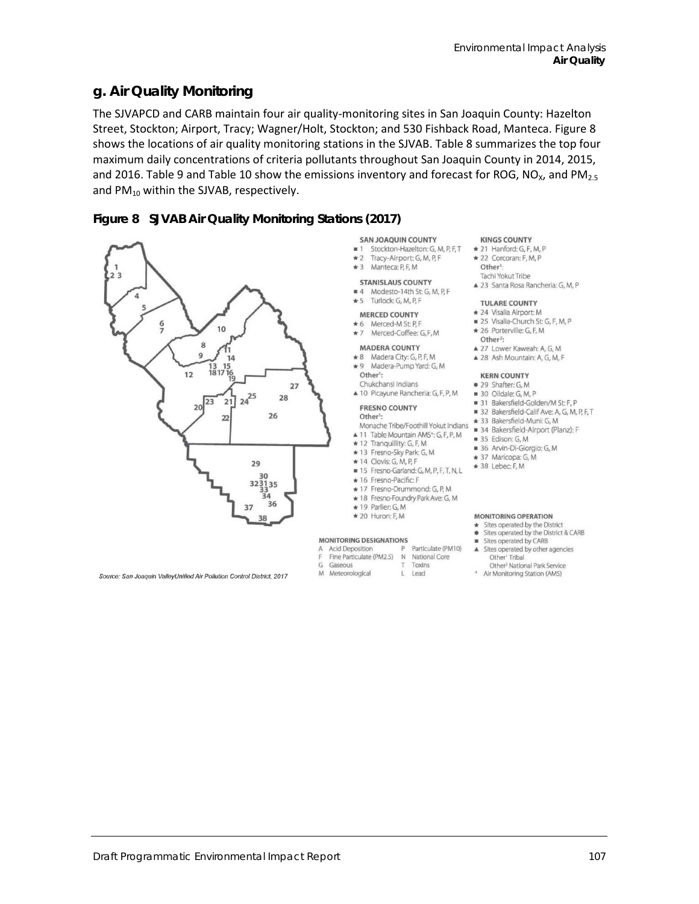## **g. Air Quality Monitoring**

The SJVAPCD and CARB maintain four air quality-monitoring sites in San Joaquin County: Hazelton Street, Stockton; Airport, Tracy; Wagner/Holt, Stockton; and 530 Fishback Road, Manteca. [Figure 8](#page-8-0) shows the locations of air quality monitoring stations in the SJVAB. [Table 8](#page-9-0) summarizes the top four maximum daily concentrations of criteria pollutants throughout San Joaquin County in 2014, 2015, and 2016. [Table 9](#page-9-1) an[d Table 10](#page-9-2) show the emissions inventory and forecast for ROG, NO<sub>x</sub>, and PM<sub>2.5</sub> and  $PM_{10}$  within the SJVAB, respectively.

#### <span id="page-8-0"></span>**Figure 8 SJVAB Air Quality Monitoring Stations (2017)**



#### **SAN JOAQUIN COUNTY**  $n + 1$

- Stockton-Hazelton: G. M. P. F. T \* 21 Hanford: G. F. M. P
- Tracy-Airport: G, M, P, F  $+2$ \* 3 Manteca: P.E.M.
- 
- STANISI AUS COUNTY
- 4 Modesto-14th St: G, M, P, F

#### $\star$  5 Turlock: G. M. P. F.

#### **MERCED COUNTY**

- \* 6 Merced-M St: P.F
- \* 7 Merced-Coffee: G,F,M

#### **MADERA COUNTY**

- \*8 Madera City: G, P, F, M \* 9 Madera-Pump Yard: G, M
- Other<sup>1</sup>:
- Chukchansi Indians A 10 Picayune Rancheria: G, F, P, M

#### **FRESNO COUNTY**

#### Other<sup>1</sup>:

- Monache Tribe/Foothill Yokut Indians
- ▲ 11 Table Mountain AMS<sup>+</sup>: G, F, P, M
- \* 12 Tranquillity: G, F, M
- 
- 
- 
- \* 17 Fresno-Drummond: G, P, M

Particulate (PM10)

- \* 18 Fresno-Foundry Park Ave: G, M
- \* 19 Parlier: G, M
- \* 20 Huron: F, M

#### MONITORING DESIGNATIONS

- 
- Fine Particulate (PM2.5) N National Core
- Gaseous
- M Meteorological
- Toxins L Lead
	-

#### \* 22 Corcoran: F, M, P Other<sup>1</sup>

**KINGS COUNTY** 

Tachi Yokut Tribe ▲ 23 Santa Rosa Rancheria: G, M, P

#### **TULARE COUNTY**

- \* 24 Visalia Airport: M
- 25 Visalia-Church St: G. F. M. P.
- \* 26 Porterville: G, F, M
- Other<sup>2</sup> A 27 Lower Kaweah: A. G. M.
- ▲ 28 Ash Mountain: A, G, M, F

### **KERN COUNTY**

- · 29 Shafter: G. M.
- 30 Oildale: G. M. P
- 31 Bakersfield-Golden/M St: F, P
- 32 Bakersfield-Calif Ave: A, G, M, P, F, T
- + 33 Bakersfield-Muni: G. M.
- 34 Bakersfield-Airport (Planz): F
- $\blacksquare$  35 Edison G M
- 36 Arvin-Di-Giorgio: G, M
- $\star$  37 Maricopa: G, M
- $\star$  38 Lebec: F, M

#### **MONITORING OPERATION**

- Sites operated by the District • Sites operated by the District & CARB
- Sites operated by CARB ٠
- A Sites operated by other agencies
- Other<sup>t</sup> Tribal Other<sup>2</sup> National Park Service
- + Air Monitoring Station (AMS)
- Source: San Joaquin ValleyUnified Air Pollution Control District, 2017
	-
- 
- 
- 

- **Acid Deposition** p
- $\overline{G}$
- 

#### + 13 Fresno-Sky Park: G, M  $\star$  14 Clovis: G, M, P, F

- 
- 

# 15 Fresno-Garland: G, M, P, F, T, N, L

\* 16 Fresno-Pacific: F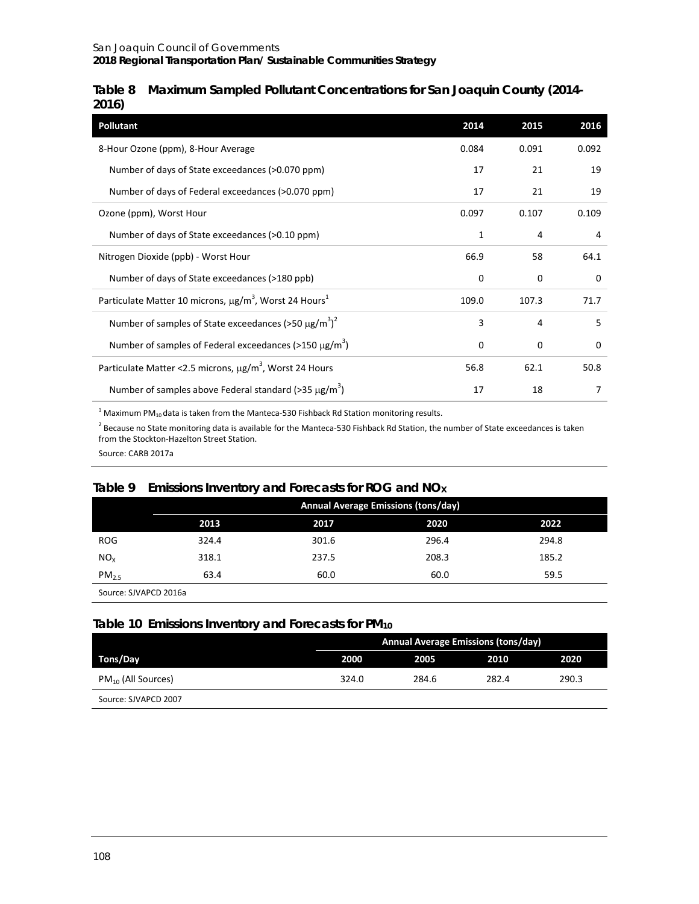#### <span id="page-9-0"></span>**Table 8 Maximum Sampled Pollutant Concentrations for San Joaquin County (2014- 2016)**

| <b>Pollutant</b>                                                                  | 2014  | 2015     | 2016        |
|-----------------------------------------------------------------------------------|-------|----------|-------------|
| 8-Hour Ozone (ppm), 8-Hour Average                                                | 0.084 | 0.091    | 0.092       |
| Number of days of State exceedances (>0.070 ppm)                                  | 17    | 21       | 19          |
| Number of days of Federal exceedances (>0.070 ppm)                                | 17    | 21       | 19          |
| Ozone (ppm), Worst Hour                                                           | 0.097 | 0.107    | 0.109       |
| Number of days of State exceedances (>0.10 ppm)                                   | 1     | 4        | 4           |
| Nitrogen Dioxide (ppb) - Worst Hour                                               | 66.9  | 58       | 64.1        |
| Number of days of State exceedances (>180 ppb)                                    | 0     | 0        | $\mathbf 0$ |
| Particulate Matter 10 microns, µg/m <sup>3</sup> , Worst 24 Hours <sup>1</sup>    | 109.0 | 107.3    | 71.7        |
| Number of samples of State exceedances (>50 $\mu$ g/m <sup>3</sup> ) <sup>2</sup> | 3     | 4        | 5           |
| Number of samples of Federal exceedances ( $>150 \mu g/m^3$ )                     | 0     | $\Omega$ | $\Omega$    |
| Particulate Matter < 2.5 microns, µg/m <sup>3</sup> , Worst 24 Hours              | 56.8  | 62.1     | 50.8        |
| Number of samples above Federal standard (>35 $\mu$ g/m <sup>3</sup> )            | 17    | 18       | 7           |

 $1$  Maximum PM<sub>10</sub> data is taken from the Manteca-530 Fishback Rd Station monitoring results.

 $2$  Because no State monitoring data is available for the Manteca-530 Fishback Rd Station, the number of State exceedances is taken from the Stockton-Hazelton Street Station.

Source: CARB 2017a

## <span id="page-9-1"></span>**Table 9 Emissions Inventory and Forecasts for ROG and NOX**

|                   |       | <b>Annual Average Emissions (tons/day)</b> |       |       |  |
|-------------------|-------|--------------------------------------------|-------|-------|--|
|                   | 2013  | 2017                                       | 2020  | 2022  |  |
| <b>ROG</b>        | 324.4 | 301.6                                      | 296.4 | 294.8 |  |
| NO <sub>x</sub>   | 318.1 | 237.5                                      | 208.3 | 185.2 |  |
| PM <sub>2.5</sub> | 63.4  | 60.0                                       | 60.0  | 59.5  |  |

Source: SJVAPCD 2016a

#### <span id="page-9-2"></span>**Table 10 Emissions Inventory and Forecasts for PM10**

|                         |       | <b>Annual Average Emissions (tons/day)</b> |       |       |  |
|-------------------------|-------|--------------------------------------------|-------|-------|--|
| Tons/Day                | 2000  | 2005                                       | 2010  | 2020  |  |
| $PM_{10}$ (All Sources) | 324.0 | 284.6                                      | 282.4 | 290.3 |  |
| Source: SJVAPCD 2007    |       |                                            |       |       |  |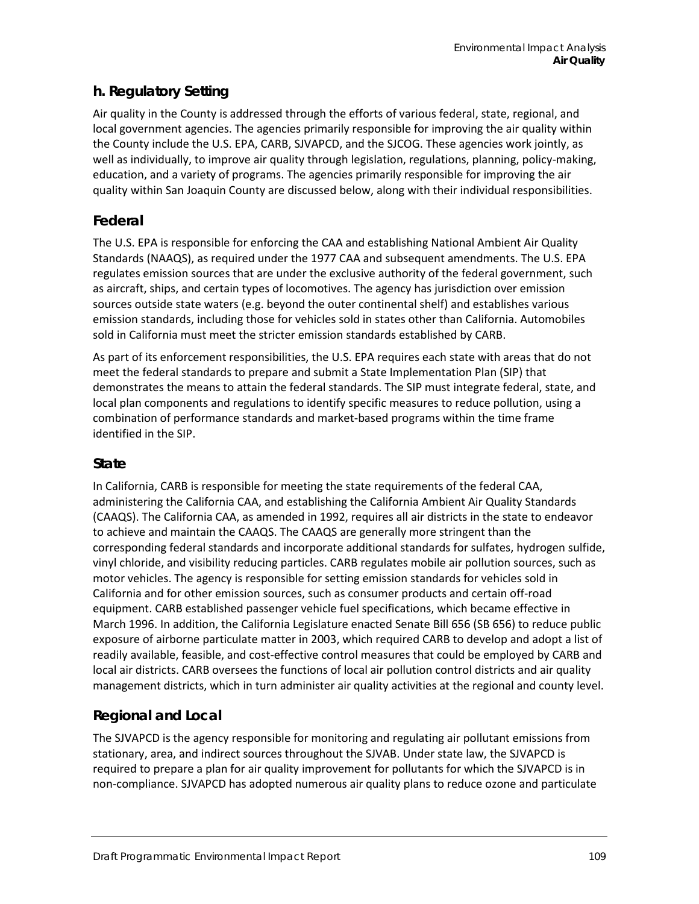# **h. Regulatory Setting**

Air quality in the County is addressed through the efforts of various federal, state, regional, and local government agencies. The agencies primarily responsible for improving the air quality within the County include the U.S. EPA, CARB, SJVAPCD, and the SJCOG. These agencies work jointly, as well as individually, to improve air quality through legislation, regulations, planning, policy-making, education, and a variety of programs. The agencies primarily responsible for improving the air quality within San Joaquin County are discussed below, along with their individual responsibilities.

# **Federal**

The U.S. EPA is responsible for enforcing the CAA and establishing National Ambient Air Quality Standards (NAAQS), as required under the 1977 CAA and subsequent amendments. The U.S. EPA regulates emission sources that are under the exclusive authority of the federal government, such as aircraft, ships, and certain types of locomotives. The agency has jurisdiction over emission sources outside state waters (e.g. beyond the outer continental shelf) and establishes various emission standards, including those for vehicles sold in states other than California. Automobiles sold in California must meet the stricter emission standards established by CARB.

As part of its enforcement responsibilities, the U.S. EPA requires each state with areas that do not meet the federal standards to prepare and submit a State Implementation Plan (SIP) that demonstrates the means to attain the federal standards. The SIP must integrate federal, state, and local plan components and regulations to identify specific measures to reduce pollution, using a combination of performance standards and market-based programs within the time frame identified in the SIP.

## **State**

In California, CARB is responsible for meeting the state requirements of the federal CAA, administering the California CAA, and establishing the California Ambient Air Quality Standards (CAAQS). The California CAA, as amended in 1992, requires all air districts in the state to endeavor to achieve and maintain the CAAQS. The CAAQS are generally more stringent than the corresponding federal standards and incorporate additional standards for sulfates, hydrogen sulfide, vinyl chloride, and visibility reducing particles. CARB regulates mobile air pollution sources, such as motor vehicles. The agency is responsible for setting emission standards for vehicles sold in California and for other emission sources, such as consumer products and certain off-road equipment. CARB established passenger vehicle fuel specifications, which became effective in March 1996. In addition, the California Legislature enacted Senate Bill 656 (SB 656) to reduce public exposure of airborne particulate matter in 2003, which required CARB to develop and adopt a list of readily available, feasible, and cost-effective control measures that could be employed by CARB and local air districts. CARB oversees the functions of local air pollution control districts and air quality management districts, which in turn administer air quality activities at the regional and county level.

# **Regional and Local**

The SJVAPCD is the agency responsible for monitoring and regulating air pollutant emissions from stationary, area, and indirect sources throughout the SJVAB. Under state law, the SJVAPCD is required to prepare a plan for air quality improvement for pollutants for which the SJVAPCD is in non-compliance. SJVAPCD has adopted numerous air quality plans to reduce ozone and particulate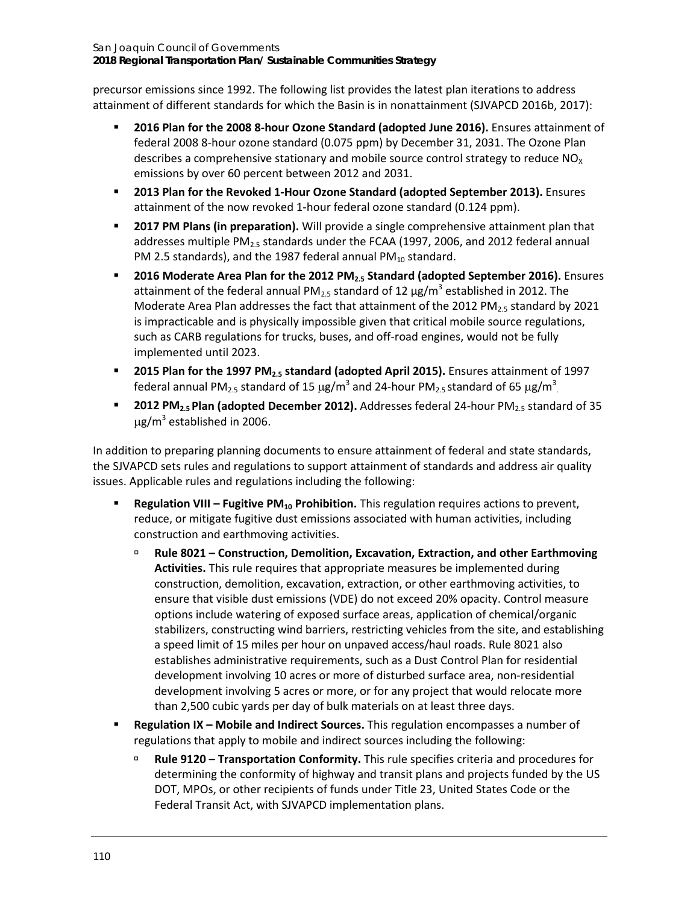San Joaquin Council of Governments **2018 Regional Transportation Plan/ Sustainable Communities Strategy**

precursor emissions since 1992. The following list provides the latest plan iterations to address attainment of different standards for which the Basin is in nonattainment (SJVAPCD 2016b, 2017):

- **2016 Plan for the 2008 8-hour Ozone Standard (adopted June 2016).** Ensures attainment of federal 2008 8-hour ozone standard (0.075 ppm) by December 31, 2031. The Ozone Plan describes a comprehensive stationary and mobile source control strategy to reduce  $NO<sub>x</sub>$ emissions by over 60 percent between 2012 and 2031.
- **2013 Plan for the Revoked 1-Hour Ozone Standard (adopted September 2013).** Ensures attainment of the now revoked 1-hour federal ozone standard (0.124 ppm).
- **2017 PM Plans (in preparation).** Will provide a single comprehensive attainment plan that addresses multiple PM $_{2.5}$  standards under the FCAA (1997, 2006, and 2012 federal annual PM 2.5 standards), and the 1987 federal annual PM $_{10}$  standard.
- **2016 Moderate Area Plan for the 2012 PM<sub>2.5</sub> Standard (adopted September 2016).** Ensures attainment of the federal annual PM<sub>2.5</sub> standard of 12  $\mu$ g/m<sup>3</sup> established in 2012. The Moderate Area Plan addresses the fact that attainment of the 2012 PM $_{2.5}$  standard by 2021 is impracticable and is physically impossible given that critical mobile source regulations, such as CARB regulations for trucks, buses, and off-road engines, would not be fully implemented until 2023.
- **2015 Plan for the 1997 PM2.5 standard (adopted April 2015).** Ensures attainment of 1997 federal annual PM<sub>2.5</sub> standard of 15 µg/m<sup>3</sup> and 24-hour PM<sub>2.5</sub> standard of 65 µg/m<sup>3</sup>.
- **2012 PM<sub>2.5</sub> Plan (adopted December 2012).** Addresses federal 24-hour PM<sub>2.5</sub> standard of 35  $\mu$ g/m<sup>3</sup> established in 2006.

In addition to preparing planning documents to ensure attainment of federal and state standards, the SJVAPCD sets rules and regulations to support attainment of standards and address air quality issues. Applicable rules and regulations including the following:

- **Regulation VIII Fugitive PM<sub>10</sub> Prohibition.** This regulation requires actions to prevent, reduce, or mitigate fugitive dust emissions associated with human activities, including construction and earthmoving activities.
	- **Rule 8021 – Construction, Demolition, Excavation, Extraction, and other Earthmoving Activities.** This rule requires that appropriate measures be implemented during construction, demolition, excavation, extraction, or other earthmoving activities, to ensure that visible dust emissions (VDE) do not exceed 20% opacity. Control measure options include watering of exposed surface areas, application of chemical/organic stabilizers, constructing wind barriers, restricting vehicles from the site, and establishing a speed limit of 15 miles per hour on unpaved access/haul roads. Rule 8021 also establishes administrative requirements, such as a Dust Control Plan for residential development involving 10 acres or more of disturbed surface area, non-residential development involving 5 acres or more, or for any project that would relocate more than 2,500 cubic yards per day of bulk materials on at least three days.
- **Regulation IX – Mobile and Indirect Sources.** This regulation encompasses a number of regulations that apply to mobile and indirect sources including the following:
	- **Rule 9120 – Transportation Conformity.** This rule specifies criteria and procedures for determining the conformity of highway and transit plans and projects funded by the US DOT, MPOs, or other recipients of funds under Title 23, United States Code or the Federal Transit Act, with SJVAPCD implementation plans.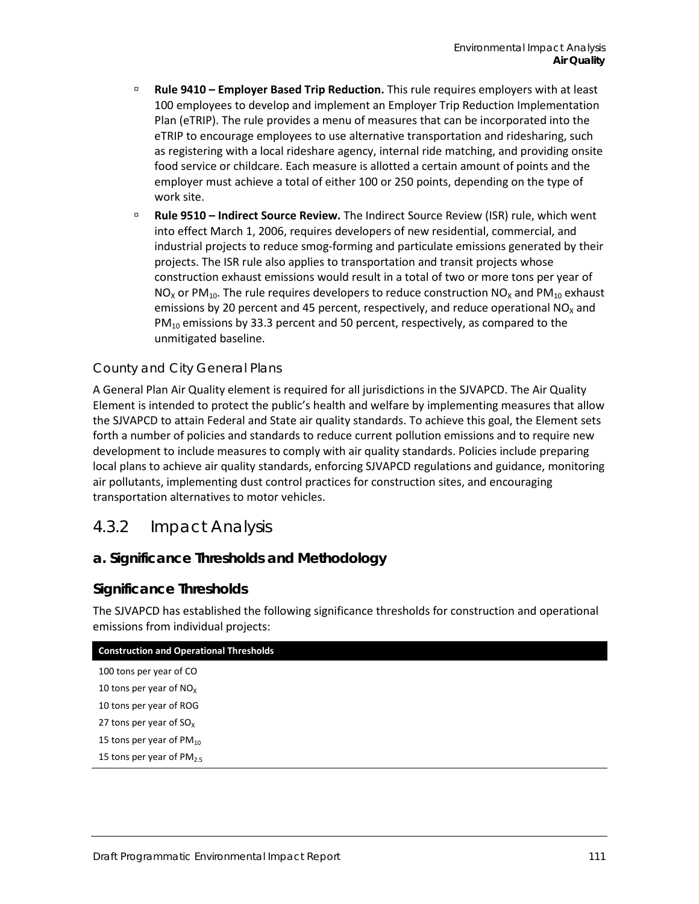- **Rule 9410 – Employer Based Trip Reduction.** This rule requires employers with at least 100 employees to develop and implement an Employer Trip Reduction Implementation Plan (eTRIP). The rule provides a menu of measures that can be incorporated into the eTRIP to encourage employees to use alternative transportation and ridesharing, such as registering with a local rideshare agency, internal ride matching, and providing onsite food service or childcare. Each measure is allotted a certain amount of points and the employer must achieve a total of either 100 or 250 points, depending on the type of work site.
- **Rule 9510 – Indirect Source Review.** The Indirect Source Review (ISR) rule, which went into effect March 1, 2006, requires developers of new residential, commercial, and industrial projects to reduce smog-forming and particulate emissions generated by their projects. The ISR rule also applies to transportation and transit projects whose construction exhaust emissions would result in a total of two or more tons per year of  $NO<sub>X</sub>$  or PM<sub>10</sub>. The rule requires developers to reduce construction NO<sub>x</sub> and PM<sub>10</sub> exhaust emissions by 20 percent and 45 percent, respectively, and reduce operational  $NO<sub>x</sub>$  and  $PM_{10}$  emissions by 33.3 percent and 50 percent, respectively, as compared to the unmitigated baseline.

#### *County and City General Plans*

A General Plan Air Quality element is required for all jurisdictions in the SJVAPCD. The Air Quality Element is intended to protect the public's health and welfare by implementing measures that allow the SJVAPCD to attain Federal and State air quality standards. To achieve this goal, the Element sets forth a number of policies and standards to reduce current pollution emissions and to require new development to include measures to comply with air quality standards. Policies include preparing local plans to achieve air quality standards, enforcing SJVAPCD regulations and guidance, monitoring air pollutants, implementing dust control practices for construction sites, and encouraging transportation alternatives to motor vehicles.

## 4.3.2 Impact Analysis

#### **a. Significance Thresholds and Methodology**

#### **Significance Thresholds**

The SJVAPCD has established the following significance thresholds for construction and operational emissions from individual projects:

| <b>Construction and Operational Thresholds</b> |  |
|------------------------------------------------|--|
| 100 tons per year of CO                        |  |
| 10 tons per year of $NOx$                      |  |
| 10 tons per year of ROG                        |  |
| 27 tons per year of $SO_x$                     |  |
| 15 tons per year of $PM_{10}$                  |  |
| 15 tons per year of PM <sub>25</sub>           |  |
|                                                |  |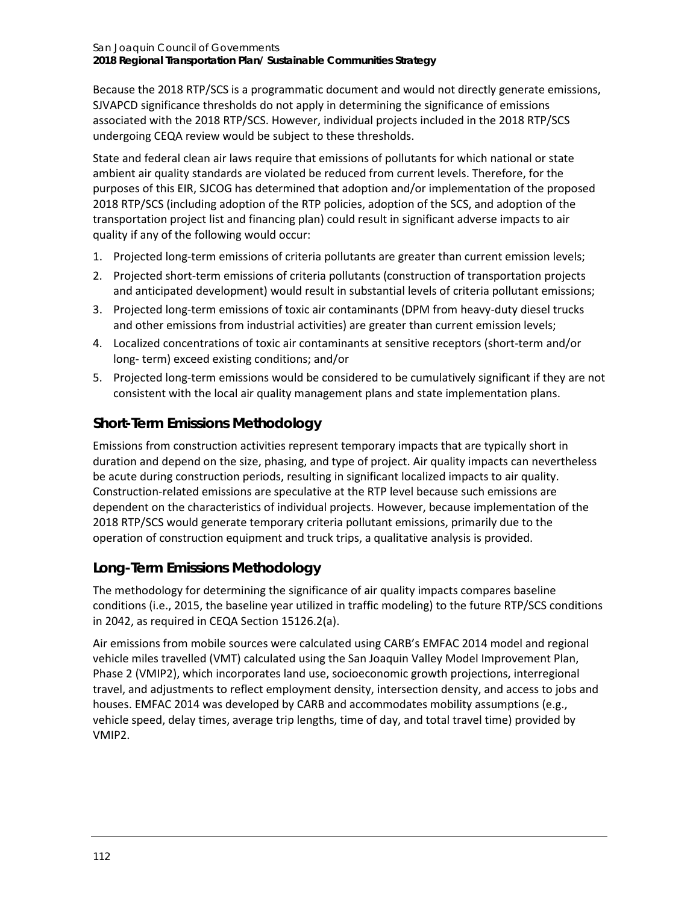Because the 2018 RTP/SCS is a programmatic document and would not directly generate emissions, SJVAPCD significance thresholds do not apply in determining the significance of emissions associated with the 2018 RTP/SCS. However, individual projects included in the 2018 RTP/SCS undergoing CEQA review would be subject to these thresholds.

State and federal clean air laws require that emissions of pollutants for which national or state ambient air quality standards are violated be reduced from current levels. Therefore, for the purposes of this EIR, SJCOG has determined that adoption and/or implementation of the proposed 2018 RTP/SCS (including adoption of the RTP policies, adoption of the SCS, and adoption of the transportation project list and financing plan) could result in significant adverse impacts to air quality if any of the following would occur:

- 1. Projected long-term emissions of criteria pollutants are greater than current emission levels;
- 2. Projected short-term emissions of criteria pollutants (construction of transportation projects and anticipated development) would result in substantial levels of criteria pollutant emissions;
- 3. Projected long-term emissions of toxic air contaminants (DPM from heavy-duty diesel trucks and other emissions from industrial activities) are greater than current emission levels;
- 4. Localized concentrations of toxic air contaminants at sensitive receptors (short-term and/or long- term) exceed existing conditions; and/or
- 5. Projected long-term emissions would be considered to be cumulatively significant if they are not consistent with the local air quality management plans and state implementation plans.

# **Short-Term Emissions Methodology**

Emissions from construction activities represent temporary impacts that are typically short in duration and depend on the size, phasing, and type of project. Air quality impacts can nevertheless be acute during construction periods, resulting in significant localized impacts to air quality. Construction-related emissions are speculative at the RTP level because such emissions are dependent on the characteristics of individual projects. However, because implementation of the 2018 RTP/SCS would generate temporary criteria pollutant emissions, primarily due to the operation of construction equipment and truck trips, a qualitative analysis is provided.

# **Long-Term Emissions Methodology**

The methodology for determining the significance of air quality impacts compares baseline conditions (i.e., 2015, the baseline year utilized in traffic modeling) to the future RTP/SCS conditions in 2042, as required in CEQA Section 15126.2(a).

Air emissions from mobile sources were calculated using CARB's EMFAC 2014 model and regional vehicle miles travelled (VMT) calculated using the San Joaquin Valley Model Improvement Plan, Phase 2 (VMIP2), which incorporates land use, socioeconomic growth projections, interregional travel, and adjustments to reflect employment density, intersection density, and access to jobs and houses. EMFAC 2014 was developed by CARB and accommodates mobility assumptions (e.g., vehicle speed, delay times, average trip lengths, time of day, and total travel time) provided by VMIP2.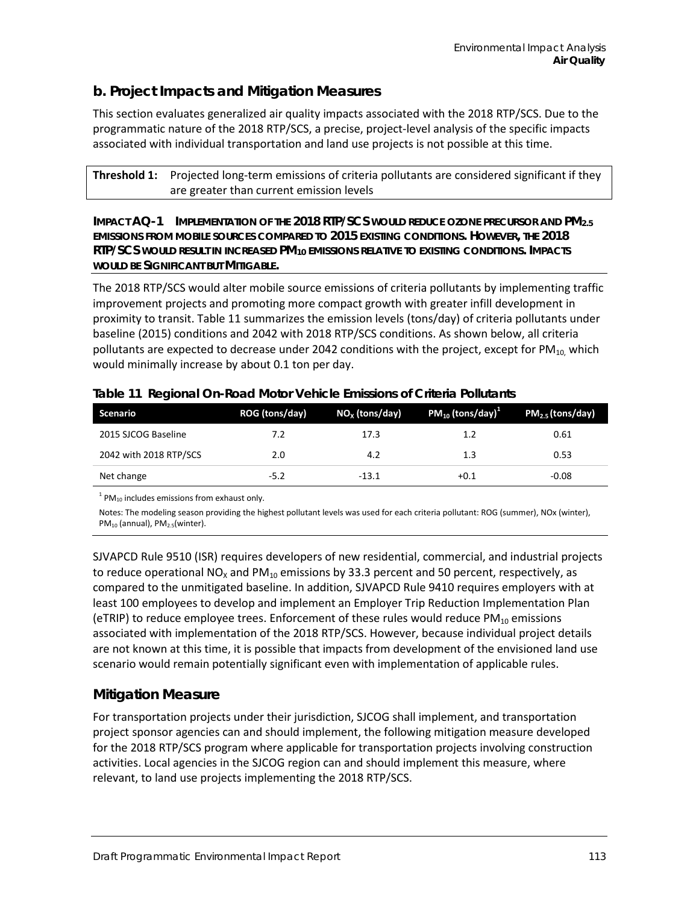## **b. Project Impacts and Mitigation Measures**

This section evaluates generalized air quality impacts associated with the 2018 RTP/SCS. Due to the programmatic nature of the 2018 RTP/SCS, a precise, project-level analysis of the specific impacts associated with individual transportation and land use projects is not possible at this time.

**Threshold 1:** Projected long-term emissions of criteria pollutants are considered significant if they are greater than current emission levels

**IMPACT AQ-1 IMPLEMENTATION OF THE 2018 RTP/SCS WOULD REDUCE OZONE PRECURSOR AND PM2.5 EMISSIONS FROM MOBILE SOURCES COMPARED TO 2015 EXISTING CONDITIONS. HOWEVER, THE 2018 RTP/SCS WOULD RESULT IN INCREASED PM10 EMISSIONS RELATIVE TO EXISTING CONDITIONS. IMPACTS WOULD BE SIGNIFICANT BUT MITIGABLE.**

The 2018 RTP/SCS would alter mobile source emissions of criteria pollutants by implementing traffic improvement projects and promoting more compact growth with greater infill development in proximity to transit. [Table 11](#page-14-0) summarizes the emission levels (tons/day) of criteria pollutants under baseline (2015) conditions and 2042 with 2018 RTP/SCS conditions. As shown below, all criteria pollutants are expected to decrease under 2042 conditions with the project, except for  $PM_{10}$ , which would minimally increase by about 0.1 ton per day.

| Scenario               | ROG (tons/day) | $NOx$ (tons/day) | $PM_{10}$ (tons/day) <sup>1</sup> | $PM2.5$ (tons/day) |
|------------------------|----------------|------------------|-----------------------------------|--------------------|
| 2015 SJCOG Baseline    | 7.2            | 17.3             | 1.2                               | 0.61               |
| 2042 with 2018 RTP/SCS | 2.0            | 4.2              | 1.3                               | 0.53               |
| Net change             | $-5.2$         | $-13.1$          | $+0.1$                            | $-0.08$            |

<span id="page-14-0"></span>

| Table 11 Regional On-Road Motor Vehicle Emissions of Criteria Pollutants |  |  |  |
|--------------------------------------------------------------------------|--|--|--|
|                                                                          |  |  |  |

 $1$  PM<sub>10</sub> includes emissions from exhaust only.

Notes: The modeling season providing the highest pollutant levels was used for each criteria pollutant: ROG (summer), NOx (winter),  $PM_{10}$  (annual),  $PM_{2.5}$ (winter).

SJVAPCD Rule 9510 (ISR) requires developers of new residential, commercial, and industrial projects to reduce operational NO<sub>x</sub> and PM<sub>10</sub> emissions by 33.3 percent and 50 percent, respectively, as compared to the unmitigated baseline. In addition, SJVAPCD Rule 9410 requires employers with at least 100 employees to develop and implement an Employer Trip Reduction Implementation Plan (eTRIP) to reduce employee trees. Enforcement of these rules would reduce  $PM_{10}$  emissions associated with implementation of the 2018 RTP/SCS. However, because individual project details are not known at this time, it is possible that impacts from development of the envisioned land use scenario would remain potentially significant even with implementation of applicable rules.

## **Mitigation Measure**

For transportation projects under their jurisdiction, SJCOG shall implement, and transportation project sponsor agencies can and should implement, the following mitigation measure developed for the 2018 RTP/SCS program where applicable for transportation projects involving construction activities. Local agencies in the SJCOG region can and should implement this measure, where relevant, to land use projects implementing the 2018 RTP/SCS.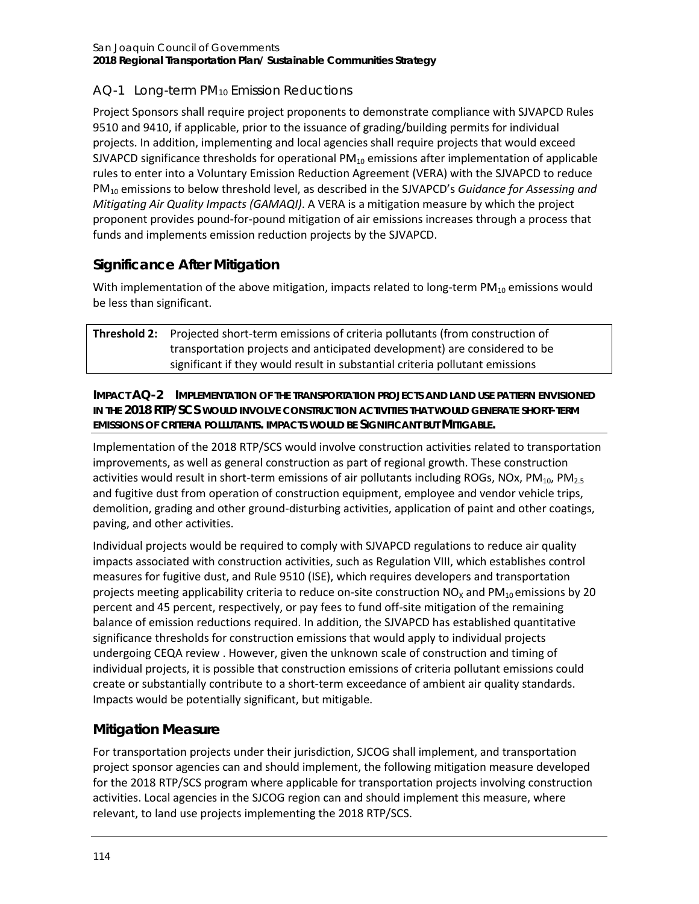## *AQ-1 Long-term PM10 Emission Reductions*

Project Sponsors shall require project proponents to demonstrate compliance with SJVAPCD Rules 9510 and 9410, if applicable, prior to the issuance of grading/building permits for individual projects. In addition, implementing and local agencies shall require projects that would exceed SJVAPCD significance thresholds for operational  $PM_{10}$  emissions after implementation of applicable rules to enter into a Voluntary Emission Reduction Agreement (VERA) with the SJVAPCD to reduce PM10 emissions to below threshold level, as described in the SJVAPCD's *Guidance for Assessing and Mitigating Air Quality Impacts (GAMAQI)*. A VERA is a mitigation measure by which the project proponent provides pound-for-pound mitigation of air emissions increases through a process that funds and implements emission reduction projects by the SJVAPCD.

# **Significance After Mitigation**

With implementation of the above mitigation, impacts related to long-term  $PM_{10}$  emissions would be less than significant.

| <b>Threshold 2:</b> Projected short-term emissions of criteria pollutants (from construction of |
|-------------------------------------------------------------------------------------------------|
| transportation projects and anticipated development) are considered to be                       |
| significant if they would result in substantial criteria pollutant emissions                    |

**IMPACT AQ-2 IMPLEMENTATION OF THE TRANSPORTATION PROJECTS AND LAND USE PATTERN ENVISIONED IN THE 2018 RTP/SCS WOULD INVOLVE CONSTRUCTION ACTIVITIES THAT WOULD GENERATE SHORT-TERM EMISSIONS OF CRITERIA POLLUTANTS. IMPACTS WOULD BE SIGNIFICANT BUT MITIGABLE.**

Implementation of the 2018 RTP/SCS would involve construction activities related to transportation improvements, as well as general construction as part of regional growth. These construction activities would result in short-term emissions of air pollutants including ROGs, NOx, PM<sub>10</sub>, PM<sub>2.5</sub> and fugitive dust from operation of construction equipment, employee and vendor vehicle trips, demolition, grading and other ground-disturbing activities, application of paint and other coatings, paving, and other activities.

Individual projects would be required to comply with SJVAPCD regulations to reduce air quality impacts associated with construction activities, such as Regulation VIII, which establishes control measures for fugitive dust, and Rule 9510 (ISE), which requires developers and transportation projects meeting applicability criteria to reduce on-site construction  $NO_x$  and  $PM_{10}$  emissions by 20 percent and 45 percent, respectively, or pay fees to fund off-site mitigation of the remaining balance of emission reductions required. In addition, the SJVAPCD has established quantitative significance thresholds for construction emissions that would apply to individual projects undergoing CEQA review . However, given the unknown scale of construction and timing of individual projects, it is possible that construction emissions of criteria pollutant emissions could create or substantially contribute to a short-term exceedance of ambient air quality standards. Impacts would be potentially significant, but mitigable.

# **Mitigation Measure**

For transportation projects under their jurisdiction, SJCOG shall implement, and transportation project sponsor agencies can and should implement, the following mitigation measure developed for the 2018 RTP/SCS program where applicable for transportation projects involving construction activities. Local agencies in the SJCOG region can and should implement this measure, where relevant, to land use projects implementing the 2018 RTP/SCS.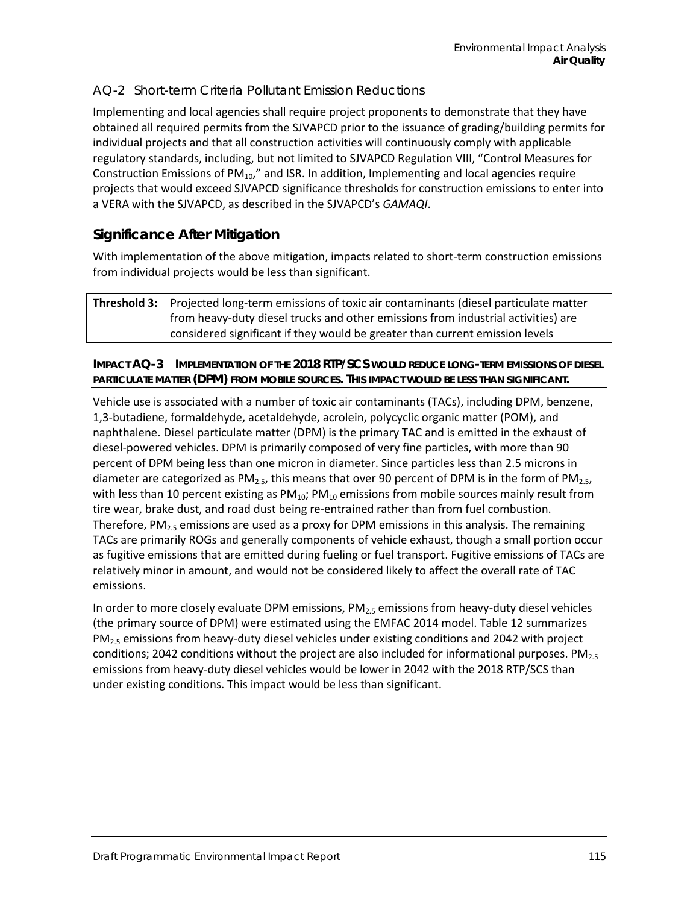#### *AQ-2 Short-term Criteria Pollutant Emission Reductions*

Implementing and local agencies shall require project proponents to demonstrate that they have obtained all required permits from the SJVAPCD prior to the issuance of grading/building permits for individual projects and that all construction activities will continuously comply with applicable regulatory standards, including, but not limited to SJVAPCD Regulation VIII, "Control Measures for Construction Emissions of  $PM_{10}$ ," and ISR. In addition, Implementing and local agencies require projects that would exceed SJVAPCD significance thresholds for construction emissions to enter into a VERA with the SJVAPCD, as described in the SJVAPCD's *GAMAQI*.

## **Significance After Mitigation**

With implementation of the above mitigation, impacts related to short-term construction emissions from individual projects would be less than significant.

**Threshold 3:** Projected long-term emissions of toxic air contaminants (diesel particulate matter from heavy-duty diesel trucks and other emissions from industrial activities) are considered significant if they would be greater than current emission levels

#### **IMPACT AQ-3 IMPLEMENTATION OF THE 2018 RTP/SCS WOULD REDUCE LONG-TERM EMISSIONS OF DIESEL PARTICULATE MATTER (DPM) FROM MOBILE SOURCES. THIS IMPACT WOULD BE LESS THAN SIGNIFICANT.**

Vehicle use is associated with a number of toxic air contaminants (TACs), including DPM, benzene, 1,3-butadiene, formaldehyde, acetaldehyde, acrolein, polycyclic organic matter (POM), and naphthalene. Diesel particulate matter (DPM) is the primary TAC and is emitted in the exhaust of diesel-powered vehicles. DPM is primarily composed of very fine particles, with more than 90 percent of DPM being less than one micron in diameter. Since particles less than 2.5 microns in diameter are categorized as  $PM_{2.5}$ , this means that over 90 percent of DPM is in the form of PM<sub>2.5</sub>, with less than 10 percent existing as  $PM_{10}$ ;  $PM_{10}$  emissions from mobile sources mainly result from tire wear, brake dust, and road dust being re-entrained rather than from fuel combustion. Therefore,  $PM_{2.5}$  emissions are used as a proxy for DPM emissions in this analysis. The remaining TACs are primarily ROGs and generally components of vehicle exhaust, though a small portion occur as fugitive emissions that are emitted during fueling or fuel transport. Fugitive emissions of TACs are relatively minor in amount, and would not be considered likely to affect the overall rate of TAC emissions.

In order to more closely evaluate DPM emissions,  $PM_{2.5}$  emissions from heavy-duty diesel vehicles (the primary source of DPM) were estimated using the EMFAC 2014 model. [Table 12](#page-17-0) summarizes PM<sub>2.5</sub> emissions from heavy-duty diesel vehicles under existing conditions and 2042 with project conditions; 2042 conditions without the project are also included for informational purposes.  $PM_{2.5}$ emissions from heavy-duty diesel vehicles would be lower in 2042 with the 2018 RTP/SCS than under existing conditions. This impact would be less than significant.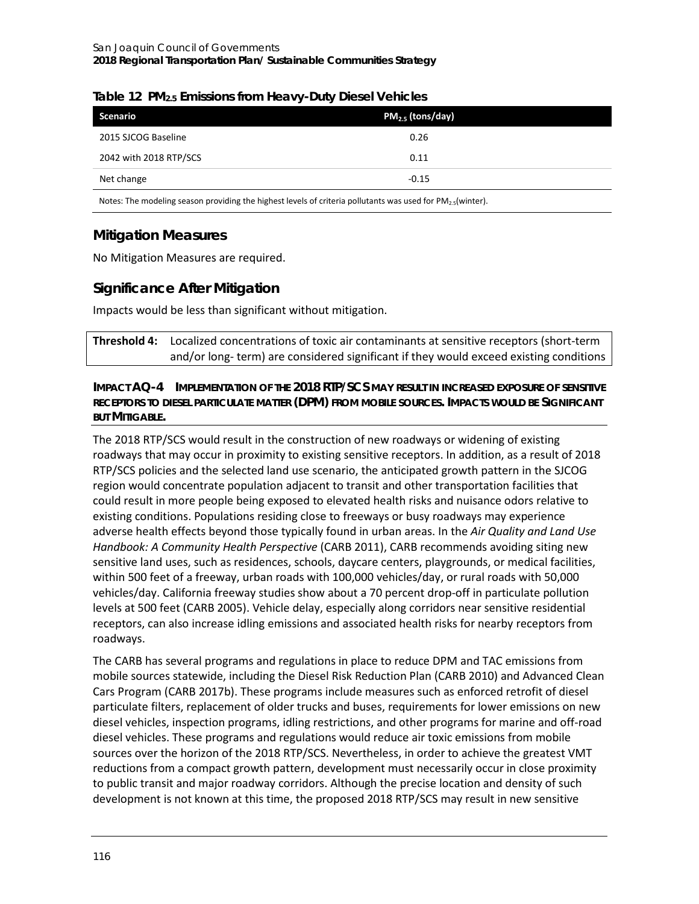| Scenario               | $PM2.5$ (tons/day) |  |
|------------------------|--------------------|--|
| 2015 SJCOG Baseline    | 0.26               |  |
| 2042 with 2018 RTP/SCS | 0.11               |  |
| Net change             | $-0.15$            |  |

#### <span id="page-17-0"></span>**Table 12 PM2.5 Emissions from Heavy-Duty Diesel Vehicles**

Notes: The modeling season providing the highest levels of criteria pollutants was used for PM<sub>2.5</sub>(winter).

# **Mitigation Measures**

No Mitigation Measures are required.

## **Significance After Mitigation**

Impacts would be less than significant without mitigation.

**Threshold 4:** Localized concentrations of toxic air contaminants at sensitive receptors (short-term and/or long- term) are considered significant if they would exceed existing conditions

#### **IMPACT AQ-4 IMPLEMENTATION OF THE 2018 RTP/SCS MAY RESULT IN INCREASED EXPOSURE OF SENSITIVE RECEPTORS TO DIESEL PARTICULATE MATTER (DPM) FROM MOBILE SOURCES. IMPACTS WOULD BE SIGNIFICANT BUT MITIGABLE.**

The 2018 RTP/SCS would result in the construction of new roadways or widening of existing roadways that may occur in proximity to existing sensitive receptors. In addition, as a result of 2018 RTP/SCS policies and the selected land use scenario, the anticipated growth pattern in the SJCOG region would concentrate population adjacent to transit and other transportation facilities that could result in more people being exposed to elevated health risks and nuisance odors relative to existing conditions. Populations residing close to freeways or busy roadways may experience adverse health effects beyond those typically found in urban areas. In the *Air Quality and Land Use Handbook: A Community Health Perspective* (CARB 2011), CARB recommends avoiding siting new sensitive land uses, such as residences, schools, daycare centers, playgrounds, or medical facilities, within 500 feet of a freeway, urban roads with 100,000 vehicles/day, or rural roads with 50,000 vehicles/day. California freeway studies show about a 70 percent drop-off in particulate pollution levels at 500 feet (CARB 2005). Vehicle delay, especially along corridors near sensitive residential receptors, can also increase idling emissions and associated health risks for nearby receptors from roadways.

The CARB has several programs and regulations in place to reduce DPM and TAC emissions from mobile sources statewide, including the Diesel Risk Reduction Plan (CARB 2010) and Advanced Clean Cars Program (CARB 2017b). These programs include measures such as enforced retrofit of diesel particulate filters, replacement of older trucks and buses, requirements for lower emissions on new diesel vehicles, inspection programs, idling restrictions, and other programs for marine and off-road diesel vehicles. These programs and regulations would reduce air toxic emissions from mobile sources over the horizon of the 2018 RTP/SCS. Nevertheless, in order to achieve the greatest VMT reductions from a compact growth pattern, development must necessarily occur in close proximity to public transit and major roadway corridors. Although the precise location and density of such development is not known at this time, the proposed 2018 RTP/SCS may result in new sensitive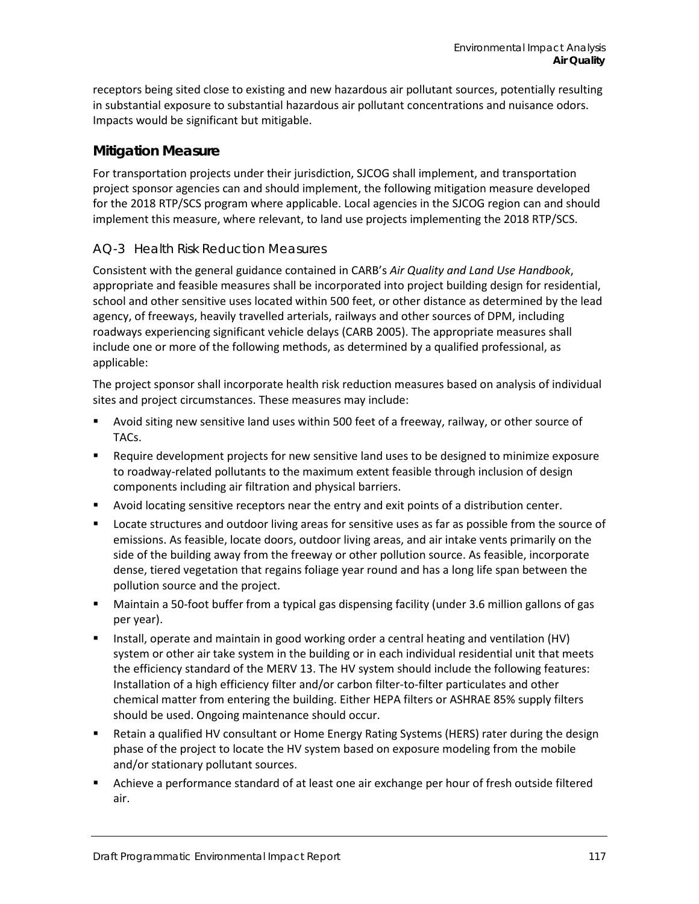receptors being sited close to existing and new hazardous air pollutant sources, potentially resulting in substantial exposure to substantial hazardous air pollutant concentrations and nuisance odors. Impacts would be significant but mitigable.

#### **Mitigation Measure**

For transportation projects under their jurisdiction, SJCOG shall implement, and transportation project sponsor agencies can and should implement, the following mitigation measure developed for the 2018 RTP/SCS program where applicable. Local agencies in the SJCOG region can and should implement this measure, where relevant, to land use projects implementing the 2018 RTP/SCS.

#### *AQ-3 Health Risk Reduction Measures*

Consistent with the general guidance contained in CARB's *Air Quality and Land Use Handbook*, appropriate and feasible measures shall be incorporated into project building design for residential, school and other sensitive uses located within 500 feet, or other distance as determined by the lead agency, of freeways, heavily travelled arterials, railways and other sources of DPM, including roadways experiencing significant vehicle delays (CARB 2005). The appropriate measures shall include one or more of the following methods, as determined by a qualified professional, as applicable:

The project sponsor shall incorporate health risk reduction measures based on analysis of individual sites and project circumstances. These measures may include:

- Avoid siting new sensitive land uses within 500 feet of a freeway, railway, or other source of TACs.
- **EXEC** Require development projects for new sensitive land uses to be designed to minimize exposure to roadway-related pollutants to the maximum extent feasible through inclusion of design components including air filtration and physical barriers.
- Avoid locating sensitive receptors near the entry and exit points of a distribution center.
- **Lacate structures and outdoor living areas for sensitive uses as far as possible from the source of** emissions. As feasible, locate doors, outdoor living areas, and air intake vents primarily on the side of the building away from the freeway or other pollution source. As feasible, incorporate dense, tiered vegetation that regains foliage year round and has a long life span between the pollution source and the project.
- Maintain a 50-foot buffer from a typical gas dispensing facility (under 3.6 million gallons of gas per year).
- Install, operate and maintain in good working order a central heating and ventilation (HV) system or other air take system in the building or in each individual residential unit that meets the efficiency standard of the MERV 13. The HV system should include the following features: Installation of a high efficiency filter and/or carbon filter-to-filter particulates and other chemical matter from entering the building. Either HEPA filters or ASHRAE 85% supply filters should be used. Ongoing maintenance should occur.
- Retain a qualified HV consultant or Home Energy Rating Systems (HERS) rater during the design phase of the project to locate the HV system based on exposure modeling from the mobile and/or stationary pollutant sources.
- Achieve a performance standard of at least one air exchange per hour of fresh outside filtered air.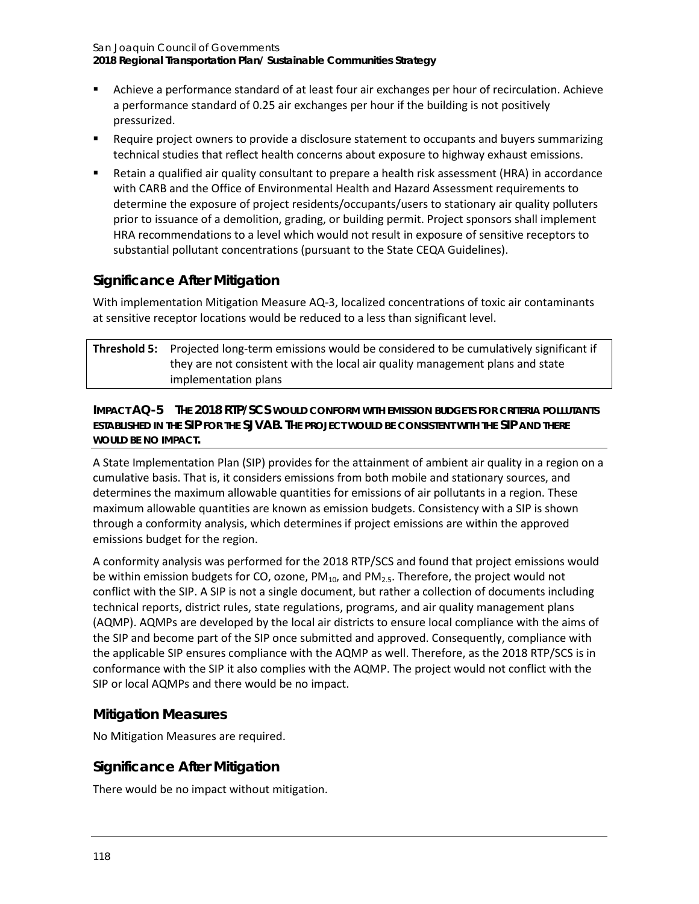- Achieve a performance standard of at least four air exchanges per hour of recirculation. Achieve a performance standard of 0.25 air exchanges per hour if the building is not positively pressurized.
- Require project owners to provide a disclosure statement to occupants and buyers summarizing technical studies that reflect health concerns about exposure to highway exhaust emissions.
- Retain a qualified air quality consultant to prepare a health risk assessment (HRA) in accordance with CARB and the Office of Environmental Health and Hazard Assessment requirements to determine the exposure of project residents/occupants/users to stationary air quality polluters prior to issuance of a demolition, grading, or building permit. Project sponsors shall implement HRA recommendations to a level which would not result in exposure of sensitive receptors to substantial pollutant concentrations (pursuant to the State CEQA Guidelines).

# **Significance After Mitigation**

With implementation Mitigation Measure AQ-3, localized concentrations of toxic air contaminants at sensitive receptor locations would be reduced to a less than significant level.

| <b>Threshold 5:</b> Projected long-term emissions would be considered to be cumulatively significant if |
|---------------------------------------------------------------------------------------------------------|
| they are not consistent with the local air quality management plans and state                           |
| implementation plans                                                                                    |

#### **IMPACT AQ-5 THE 2018 RTP/SCS WOULD CONFORM WITH EMISSION BUDGETS FOR CRITERIA POLLUTANTS ESTABLISHED IN THE SIP FOR THE SJVAB. THE PROJECT WOULD BE CONSISTENT WITH THE SIP AND THERE WOULD BE NO IMPACT.**

A State Implementation Plan (SIP) provides for the attainment of ambient air quality in a region on a cumulative basis. That is, it considers emissions from both mobile and stationary sources, and determines the maximum allowable quantities for emissions of air pollutants in a region. These maximum allowable quantities are known as emission budgets. Consistency with a SIP is shown through a conformity analysis, which determines if project emissions are within the approved emissions budget for the region.

A conformity analysis was performed for the 2018 RTP/SCS and found that project emissions would be within emission budgets for CO, ozone,  $PM_{10}$ , and  $PM_{2.5}$ . Therefore, the project would not conflict with the SIP. A SIP is not a single document, but rather a collection of documents including technical reports, district rules, state regulations, programs, and air quality management plans (AQMP). AQMPs are developed by the local air districts to ensure local compliance with the aims of the SIP and become part of the SIP once submitted and approved. Consequently, compliance with the applicable SIP ensures compliance with the AQMP as well. Therefore, as the 2018 RTP/SCS is in conformance with the SIP it also complies with the AQMP. The project would not conflict with the SIP or local AQMPs and there would be no impact.

# **Mitigation Measures**

No Mitigation Measures are required.

# **Significance After Mitigation**

There would be no impact without mitigation.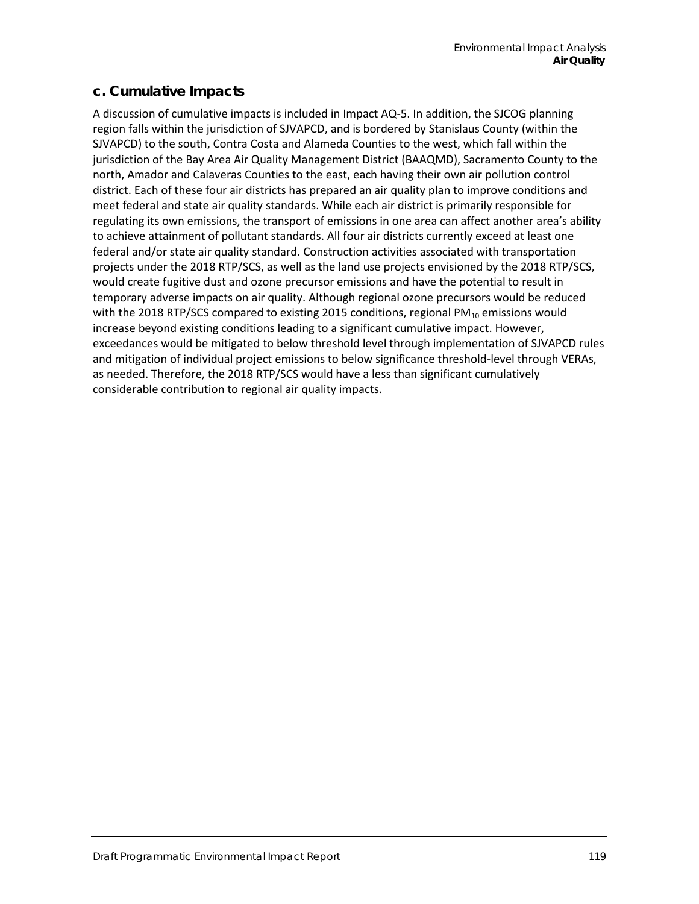## **c. Cumulative Impacts**

A discussion of cumulative impacts is included in Impact AQ-5. In addition, the SJCOG planning region falls within the jurisdiction of SJVAPCD, and is bordered by Stanislaus County (within the SJVAPCD) to the south, Contra Costa and Alameda Counties to the west, which fall within the jurisdiction of the Bay Area Air Quality Management District (BAAQMD), Sacramento County to the north, Amador and Calaveras Counties to the east, each having their own air pollution control district. Each of these four air districts has prepared an air quality plan to improve conditions and meet federal and state air quality standards. While each air district is primarily responsible for regulating its own emissions, the transport of emissions in one area can affect another area's ability to achieve attainment of pollutant standards. All four air districts currently exceed at least one federal and/or state air quality standard. Construction activities associated with transportation projects under the 2018 RTP/SCS, as well as the land use projects envisioned by the 2018 RTP/SCS, would create fugitive dust and ozone precursor emissions and have the potential to result in temporary adverse impacts on air quality. Although regional ozone precursors would be reduced with the 2018 RTP/SCS compared to existing 2015 conditions, regional PM $_{10}$  emissions would increase beyond existing conditions leading to a significant cumulative impact. However, exceedances would be mitigated to below threshold level through implementation of SJVAPCD rules and mitigation of individual project emissions to below significance threshold-level through VERAs, as needed. Therefore, the 2018 RTP/SCS would have a less than significant cumulatively considerable contribution to regional air quality impacts.